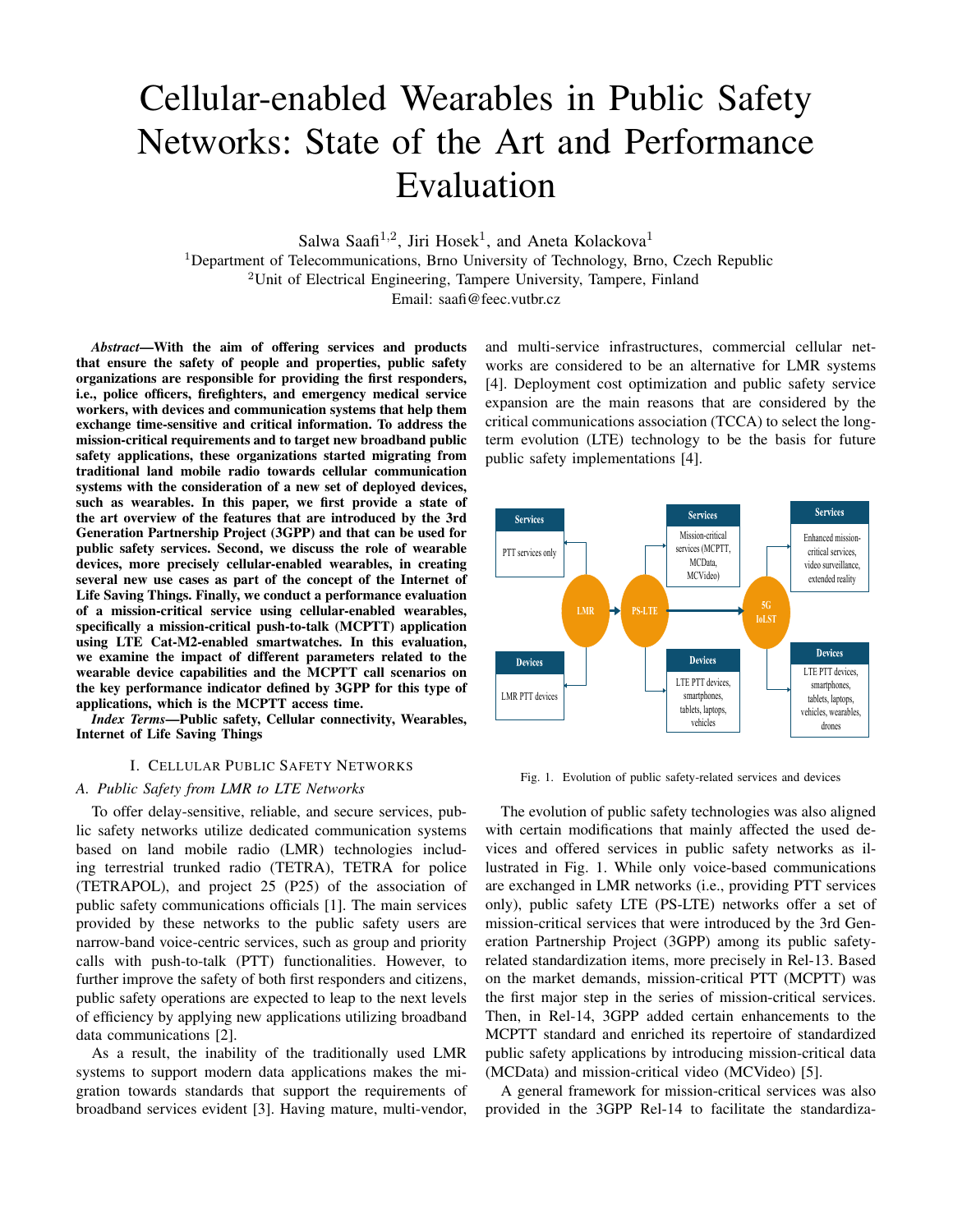# Cellular-enabled Wearables in Public Safety Networks: State of the Art and Performance Evaluation

Salwa Saafi<sup>1,2</sup>, Jiri Hosek<sup>1</sup>, and Aneta Kolackova<sup>1</sup>

<sup>1</sup>Department of Telecommunications, Brno University of Technology, Brno, Czech Republic  $2$ Unit of Electrical Engineering, Tampere University, Tampere, Finland Email: saafi@feec.vutbr.cz

*Abstract*—With the aim of offering services and products that ensure the safety of people and properties, public safety organizations are responsible for providing the first responders, i.e., police officers, firefighters, and emergency medical service workers, with devices and communication systems that help them exchange time-sensitive and critical information. To address the mission-critical requirements and to target new broadband public safety applications, these organizations started migrating from traditional land mobile radio towards cellular communication systems with the consideration of a new set of deployed devices, such as wearables. In this paper, we first provide a state of the art overview of the features that are introduced by the 3rd Generation Partnership Project (3GPP) and that can be used for public safety services. Second, we discuss the role of wearable devices, more precisely cellular-enabled wearables, in creating several new use cases as part of the concept of the Internet of Life Saving Things. Finally, we conduct a performance evaluation of a mission-critical service using cellular-enabled wearables, specifically a mission-critical push-to-talk (MCPTT) application using LTE Cat-M2-enabled smartwatches. In this evaluation, we examine the impact of different parameters related to the wearable device capabilities and the MCPTT call scenarios on the key performance indicator defined by 3GPP for this type of applications, which is the MCPTT access time.

*Index Terms*—Public safety, Cellular connectivity, Wearables, Internet of Life Saving Things

# I. CELLULAR PUBLIC SAFETY NETWORKS

# *A. Public Safety from LMR to LTE Networks*

To offer delay-sensitive, reliable, and secure services, public safety networks utilize dedicated communication systems based on land mobile radio (LMR) technologies including terrestrial trunked radio (TETRA), TETRA for police (TETRAPOL), and project 25 (P25) of the association of public safety communications officials [1]. The main services provided by these networks to the public safety users are narrow-band voice-centric services, such as group and priority calls with push-to-talk (PTT) functionalities. However, to further improve the safety of both first responders and citizens, public safety operations are expected to leap to the next levels of efficiency by applying new applications utilizing broadband data communications [2].

As a result, the inability of the traditionally used LMR systems to support modern data applications makes the migration towards standards that support the requirements of broadband services evident [3]. Having mature, multi-vendor, and multi-service infrastructures, commercial cellular networks are considered to be an alternative for LMR systems [4]. Deployment cost optimization and public safety service expansion are the main reasons that are considered by the critical communications association (TCCA) to select the longterm evolution (LTE) technology to be the basis for future public safety implementations [4].



Fig. 1. Evolution of public safety-related services and devices

The evolution of public safety technologies was also aligned with certain modifications that mainly affected the used devices and offered services in public safety networks as illustrated in Fig. 1. While only voice-based communications are exchanged in LMR networks (i.e., providing PTT services only), public safety LTE (PS-LTE) networks offer a set of mission-critical services that were introduced by the 3rd Generation Partnership Project (3GPP) among its public safetyrelated standardization items, more precisely in Rel-13. Based on the market demands, mission-critical PTT (MCPTT) was the first major step in the series of mission-critical services. Then, in Rel-14, 3GPP added certain enhancements to the MCPTT standard and enriched its repertoire of standardized public safety applications by introducing mission-critical data (MCData) and mission-critical video (MCVideo) [5].

A general framework for mission-critical services was also provided in the 3GPP Rel-14 to facilitate the standardiza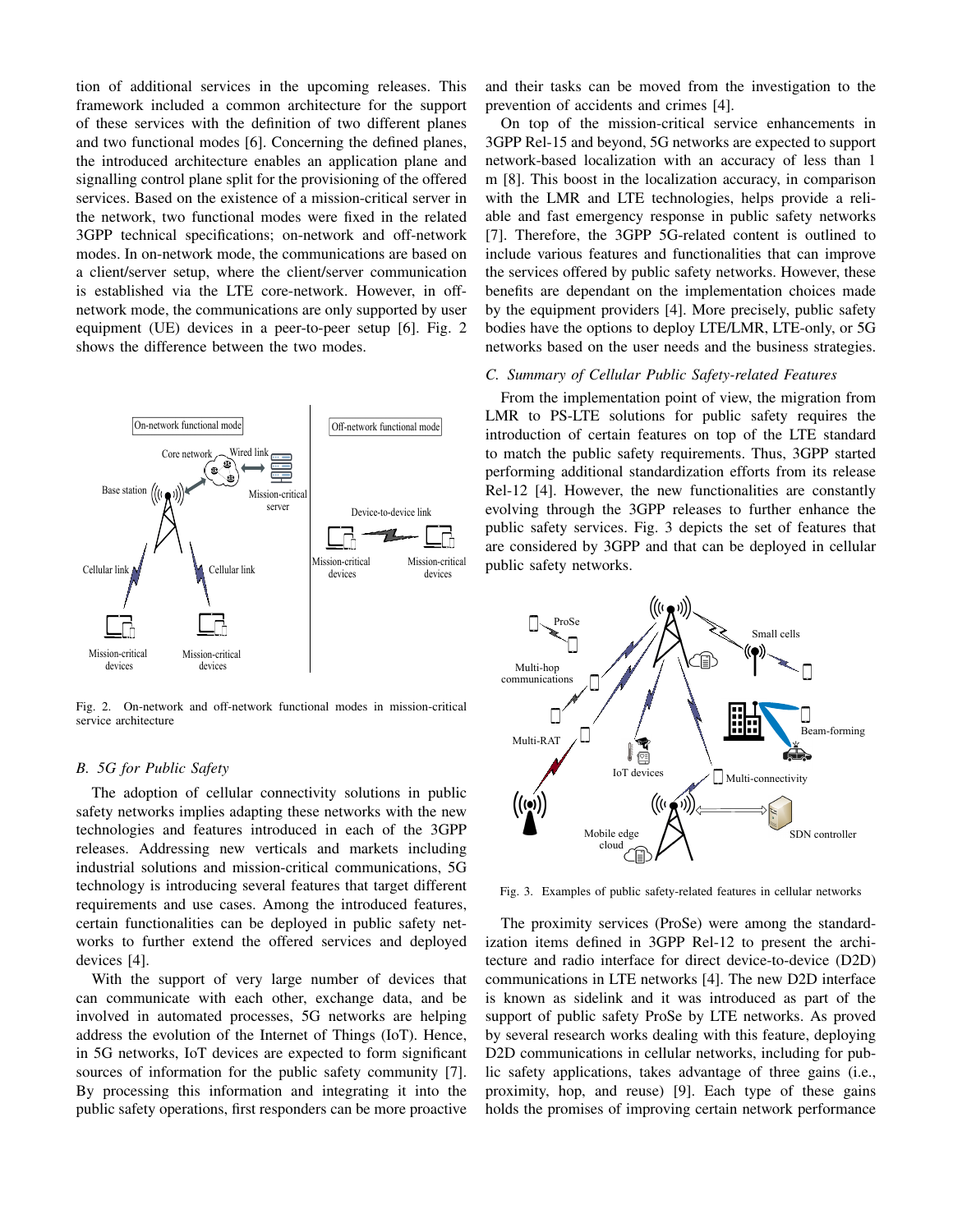tion of additional services in the upcoming releases. This framework included a common architecture for the support of these services with the definition of two different planes and two functional modes [6]. Concerning the defined planes, the introduced architecture enables an application plane and signalling control plane split for the provisioning of the offered services. Based on the existence of a mission-critical server in the network, two functional modes were fixed in the related 3GPP technical specifications; on-network and off-network modes. In on-network mode, the communications are based on a client/server setup, where the client/server communication is established via the LTE core-network. However, in offnetwork mode, the communications are only supported by user equipment (UE) devices in a peer-to-peer setup [6]. Fig. 2 shows the difference between the two modes.



Fig. 2. On-network and off-network functional modes in mission-critical service architecture

## *B. 5G for Public Safety*

The adoption of cellular connectivity solutions in public safety networks implies adapting these networks with the new technologies and features introduced in each of the 3GPP releases. Addressing new verticals and markets including industrial solutions and mission-critical communications, 5G technology is introducing several features that target different requirements and use cases. Among the introduced features, certain functionalities can be deployed in public safety networks to further extend the offered services and deployed devices [4].

With the support of very large number of devices that can communicate with each other, exchange data, and be involved in automated processes, 5G networks are helping address the evolution of the Internet of Things (IoT). Hence, in 5G networks, IoT devices are expected to form significant sources of information for the public safety community [7]. By processing this information and integrating it into the public safety operations, first responders can be more proactive

and their tasks can be moved from the investigation to the prevention of accidents and crimes [4].

On top of the mission-critical service enhancements in 3GPP Rel-15 and beyond, 5G networks are expected to support network-based localization with an accuracy of less than 1 m [8]. This boost in the localization accuracy, in comparison with the LMR and LTE technologies, helps provide a reliable and fast emergency response in public safety networks [7]. Therefore, the 3GPP 5G-related content is outlined to include various features and functionalities that can improve the services offered by public safety networks. However, these benefits are dependant on the implementation choices made by the equipment providers [4]. More precisely, public safety bodies have the options to deploy LTE/LMR, LTE-only, or 5G networks based on the user needs and the business strategies.

### *C. Summary of Cellular Public Safety-related Features*

From the implementation point of view, the migration from LMR to PS-LTE solutions for public safety requires the introduction of certain features on top of the LTE standard to match the public safety requirements. Thus, 3GPP started performing additional standardization efforts from its release Rel-12 [4]. However, the new functionalities are constantly evolving through the 3GPP releases to further enhance the public safety services. Fig. 3 depicts the set of features that are considered by 3GPP and that can be deployed in cellular public safety networks.



Fig. 3. Examples of public safety-related features in cellular networks

The proximity services (ProSe) were among the standardization items defined in 3GPP Rel-12 to present the architecture and radio interface for direct device-to-device (D2D) communications in LTE networks [4]. The new D2D interface is known as sidelink and it was introduced as part of the support of public safety ProSe by LTE networks. As proved by several research works dealing with this feature, deploying D2D communications in cellular networks, including for public safety applications, takes advantage of three gains (i.e., proximity, hop, and reuse) [9]. Each type of these gains holds the promises of improving certain network performance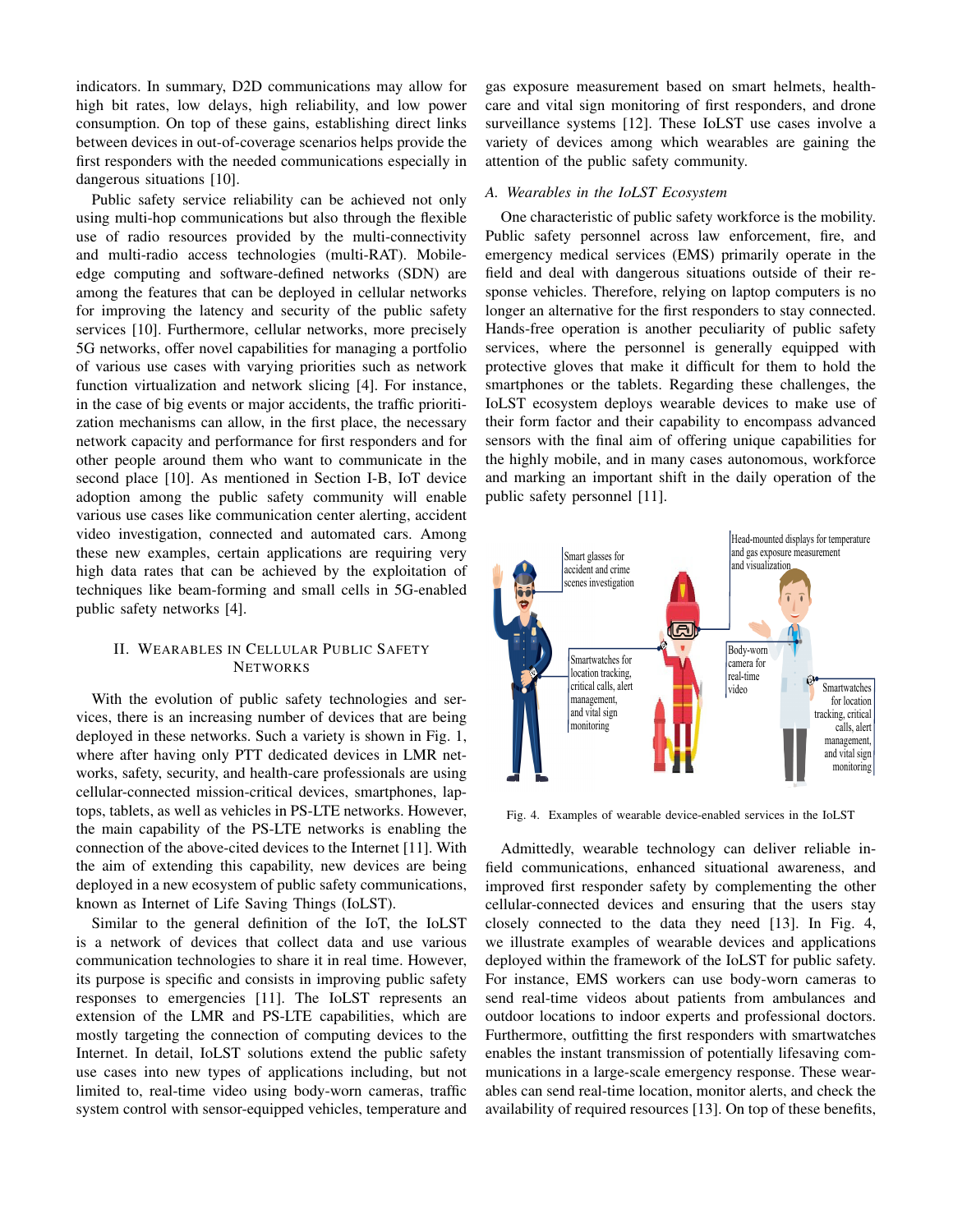indicators. In summary, D2D communications may allow for high bit rates, low delays, high reliability, and low power consumption. On top of these gains, establishing direct links between devices in out-of-coverage scenarios helps provide the first responders with the needed communications especially in dangerous situations [10].

Public safety service reliability can be achieved not only using multi-hop communications but also through the flexible use of radio resources provided by the multi-connectivity and multi-radio access technologies (multi-RAT). Mobileedge computing and software-defined networks (SDN) are among the features that can be deployed in cellular networks for improving the latency and security of the public safety services [10]. Furthermore, cellular networks, more precisely 5G networks, offer novel capabilities for managing a portfolio of various use cases with varying priorities such as network function virtualization and network slicing [4]. For instance, in the case of big events or major accidents, the traffic prioritization mechanisms can allow, in the first place, the necessary network capacity and performance for first responders and for other people around them who want to communicate in the second place [10]. As mentioned in Section I-B, IoT device adoption among the public safety community will enable various use cases like communication center alerting, accident video investigation, connected and automated cars. Among these new examples, certain applications are requiring very high data rates that can be achieved by the exploitation of techniques like beam-forming and small cells in 5G-enabled public safety networks [4].

# II. WEARABLES IN CELLULAR PUBLIC SAFETY **NETWORKS**

With the evolution of public safety technologies and services, there is an increasing number of devices that are being deployed in these networks. Such a variety is shown in Fig. 1, where after having only PTT dedicated devices in LMR networks, safety, security, and health-care professionals are using cellular-connected mission-critical devices, smartphones, laptops, tablets, as well as vehicles in PS-LTE networks. However, the main capability of the PS-LTE networks is enabling the connection of the above-cited devices to the Internet [11]. With the aim of extending this capability, new devices are being deployed in a new ecosystem of public safety communications, known as Internet of Life Saving Things (IoLST).

Similar to the general definition of the IoT, the IoLST is a network of devices that collect data and use various communication technologies to share it in real time. However, its purpose is specific and consists in improving public safety responses to emergencies [11]. The IoLST represents an extension of the LMR and PS-LTE capabilities, which are mostly targeting the connection of computing devices to the Internet. In detail, IoLST solutions extend the public safety use cases into new types of applications including, but not limited to, real-time video using body-worn cameras, traffic system control with sensor-equipped vehicles, temperature and gas exposure measurement based on smart helmets, healthcare and vital sign monitoring of first responders, and drone surveillance systems [12]. These IoLST use cases involve a variety of devices among which wearables are gaining the attention of the public safety community.

## *A. Wearables in the IoLST Ecosystem*

One characteristic of public safety workforce is the mobility. Public safety personnel across law enforcement, fire, and emergency medical services (EMS) primarily operate in the field and deal with dangerous situations outside of their response vehicles. Therefore, relying on laptop computers is no longer an alternative for the first responders to stay connected. Hands-free operation is another peculiarity of public safety services, where the personnel is generally equipped with protective gloves that make it difficult for them to hold the smartphones or the tablets. Regarding these challenges, the IoLST ecosystem deploys wearable devices to make use of their form factor and their capability to encompass advanced sensors with the final aim of offering unique capabilities for the highly mobile, and in many cases autonomous, workforce and marking an important shift in the daily operation of the public safety personnel [11].



Fig. 4. Examples of wearable device-enabled services in the IoLST

Admittedly, wearable technology can deliver reliable infield communications, enhanced situational awareness, and improved first responder safety by complementing the other cellular-connected devices and ensuring that the users stay closely connected to the data they need [13]. In Fig. 4, we illustrate examples of wearable devices and applications deployed within the framework of the IoLST for public safety. For instance, EMS workers can use body-worn cameras to send real-time videos about patients from ambulances and outdoor locations to indoor experts and professional doctors. Furthermore, outfitting the first responders with smartwatches enables the instant transmission of potentially lifesaving communications in a large-scale emergency response. These wearables can send real-time location, monitor alerts, and check the availability of required resources [13]. On top of these benefits,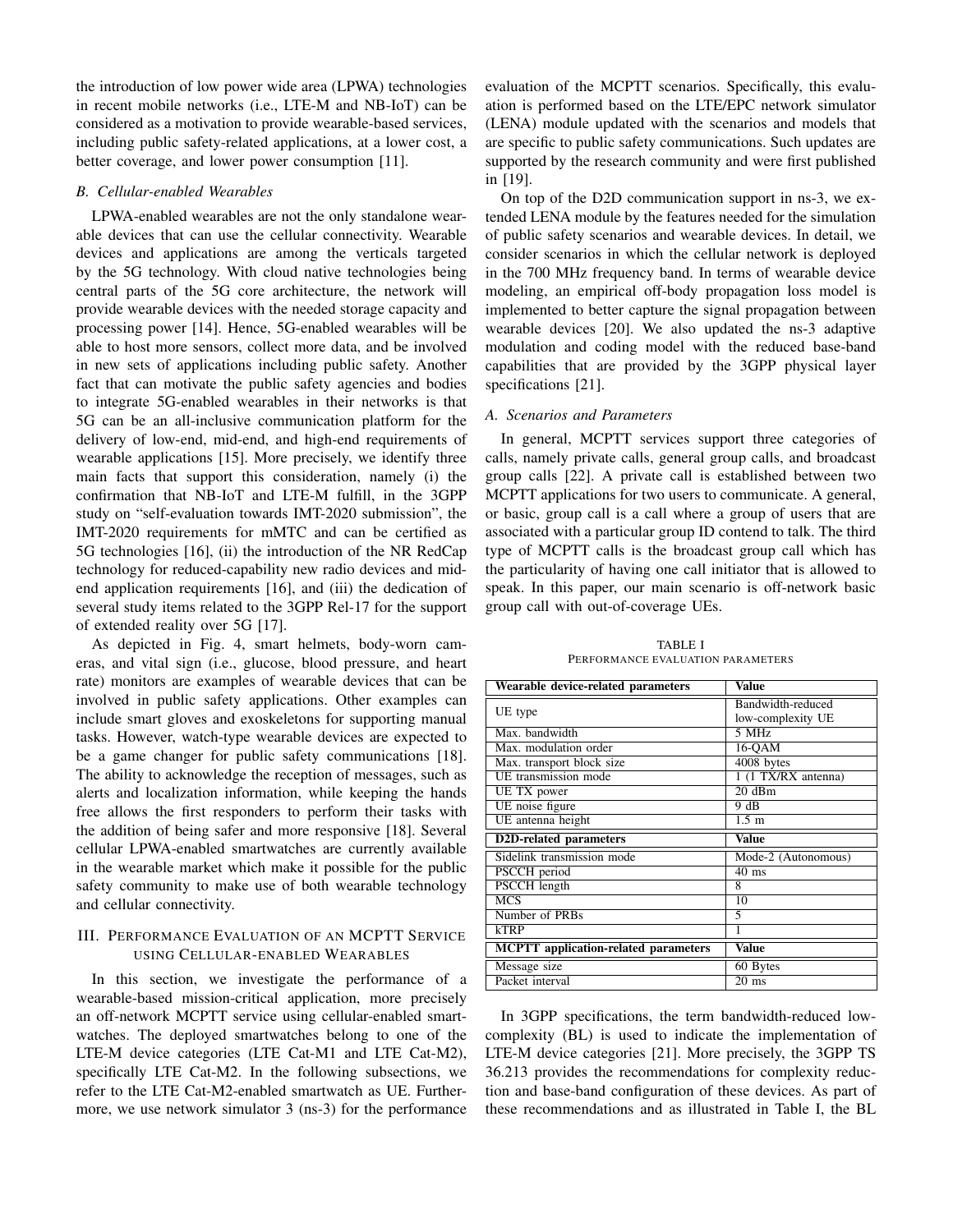the introduction of low power wide area (LPWA) technologies in recent mobile networks (i.e., LTE-M and NB-IoT) can be considered as a motivation to provide wearable-based services, including public safety-related applications, at a lower cost, a better coverage, and lower power consumption [11].

#### *B. Cellular-enabled Wearables*

LPWA-enabled wearables are not the only standalone wearable devices that can use the cellular connectivity. Wearable devices and applications are among the verticals targeted by the 5G technology. With cloud native technologies being central parts of the 5G core architecture, the network will provide wearable devices with the needed storage capacity and processing power [14]. Hence, 5G-enabled wearables will be able to host more sensors, collect more data, and be involved in new sets of applications including public safety. Another fact that can motivate the public safety agencies and bodies to integrate 5G-enabled wearables in their networks is that 5G can be an all-inclusive communication platform for the delivery of low-end, mid-end, and high-end requirements of wearable applications [15]. More precisely, we identify three main facts that support this consideration, namely (i) the confirmation that NB-IoT and LTE-M fulfill, in the 3GPP study on "self-evaluation towards IMT-2020 submission", the IMT-2020 requirements for mMTC and can be certified as 5G technologies [16], (ii) the introduction of the NR RedCap technology for reduced-capability new radio devices and midend application requirements [16], and (iii) the dedication of several study items related to the 3GPP Rel-17 for the support of extended reality over 5G [17].

As depicted in Fig. 4, smart helmets, body-worn cameras, and vital sign (i.e., glucose, blood pressure, and heart rate) monitors are examples of wearable devices that can be involved in public safety applications. Other examples can include smart gloves and exoskeletons for supporting manual tasks. However, watch-type wearable devices are expected to be a game changer for public safety communications [18]. The ability to acknowledge the reception of messages, such as alerts and localization information, while keeping the hands free allows the first responders to perform their tasks with the addition of being safer and more responsive [18]. Several cellular LPWA-enabled smartwatches are currently available in the wearable market which make it possible for the public safety community to make use of both wearable technology and cellular connectivity.

## III. PERFORMANCE EVALUATION OF AN MCPTT SERVICE USING CELLULAR-ENABLED WEARABLES

In this section, we investigate the performance of a wearable-based mission-critical application, more precisely an off-network MCPTT service using cellular-enabled smartwatches. The deployed smartwatches belong to one of the LTE-M device categories (LTE Cat-M1 and LTE Cat-M2), specifically LTE Cat-M2. In the following subsections, we refer to the LTE Cat-M2-enabled smartwatch as UE. Furthermore, we use network simulator 3 (ns-3) for the performance

evaluation of the MCPTT scenarios. Specifically, this evaluation is performed based on the LTE/EPC network simulator (LENA) module updated with the scenarios and models that are specific to public safety communications. Such updates are supported by the research community and were first published in [19].

On top of the D2D communication support in ns-3, we extended LENA module by the features needed for the simulation of public safety scenarios and wearable devices. In detail, we consider scenarios in which the cellular network is deployed in the 700 MHz frequency band. In terms of wearable device modeling, an empirical off-body propagation loss model is implemented to better capture the signal propagation between wearable devices [20]. We also updated the ns-3 adaptive modulation and coding model with the reduced base-band capabilities that are provided by the 3GPP physical layer specifications [21].

#### *A. Scenarios and Parameters*

In general, MCPTT services support three categories of calls, namely private calls, general group calls, and broadcast group calls [22]. A private call is established between two MCPTT applications for two users to communicate. A general, or basic, group call is a call where a group of users that are associated with a particular group ID contend to talk. The third type of MCPTT calls is the broadcast group call which has the particularity of having one call initiator that is allowed to speak. In this paper, our main scenario is off-network basic group call with out-of-coverage UEs.

TABLE I PERFORMANCE EVALUATION PARAMETERS

| Wearable device-related parameters          | Value               |
|---------------------------------------------|---------------------|
|                                             | Bandwidth-reduced   |
| UE type                                     | low-complexity UE   |
| Max. bandwidth                              | 5 MHz               |
| Max. modulation order                       | 16-OAM              |
| Max. transport block size                   | 4008 bytes          |
| UE transmission mode                        | 1 (1 TX/RX antenna) |
| UE TX power                                 | 20dBm               |
| UE noise figure                             | 9 dB                |
| UE antenna height                           | $1.5 \text{ m}$     |
| <b>D2D-related parameters</b>               | Value               |
| Sidelink transmission mode                  | Mode-2 (Autonomous) |
| PSCCH period                                | $\overline{40}$ ms  |
| <b>PSCCH</b> length                         | 8                   |
| $\overline{\text{MCS}}$                     | 10                  |
| Number of PRBs                              | 5                   |
| kTRP                                        | 1                   |
| <b>MCPTT</b> application-related parameters | Value               |
| Message size                                | 60 Bytes            |
| Packet interval                             | $20 \text{ ms}$     |

In 3GPP specifications, the term bandwidth-reduced lowcomplexity (BL) is used to indicate the implementation of LTE-M device categories [21]. More precisely, the 3GPP TS 36.213 provides the recommendations for complexity reduction and base-band configuration of these devices. As part of these recommendations and as illustrated in Table I, the BL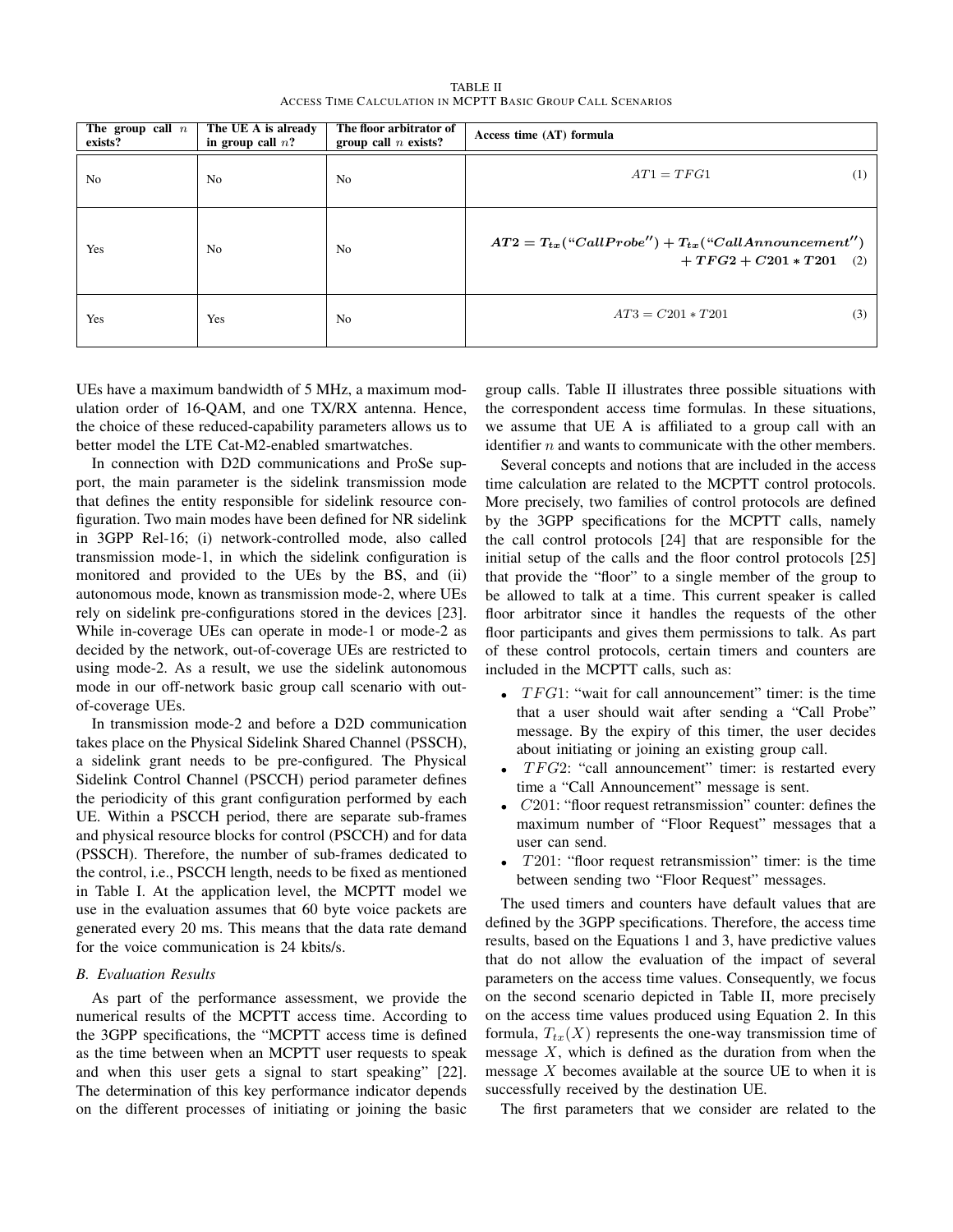TABLE II ACCESS TIME CALCULATION IN MCPTT BASIC GROUP CALL SCENARIOS

| The group call $n$<br>exists? | The UE A is already<br>in group call $n$ ? | The floor arbitrator of<br>group call $n$ exists? | Access time (AT) formula                                                              |
|-------------------------------|--------------------------------------------|---------------------------------------------------|---------------------------------------------------------------------------------------|
| No                            | N <sub>0</sub>                             | No                                                | $AT1 = TFG1$<br>(1)                                                                   |
| Yes                           | N <sub>0</sub>                             | N <sub>0</sub>                                    | $AT2 = T_{tx}("CallProbe") + T_{tx}("CallAnnouncement")$<br>$+TFG2 + C201 * T201$ (2) |
| Yes                           | Yes                                        | N <sub>0</sub>                                    | $AT3 = C201 * T201$<br>(3)                                                            |

UEs have a maximum bandwidth of 5 MHz, a maximum modulation order of 16-QAM, and one TX/RX antenna. Hence, the choice of these reduced-capability parameters allows us to better model the LTE Cat-M2-enabled smartwatches.

In connection with D2D communications and ProSe support, the main parameter is the sidelink transmission mode that defines the entity responsible for sidelink resource configuration. Two main modes have been defined for NR sidelink in 3GPP Rel-16; (i) network-controlled mode, also called transmission mode-1, in which the sidelink configuration is monitored and provided to the UEs by the BS, and (ii) autonomous mode, known as transmission mode-2, where UEs rely on sidelink pre-configurations stored in the devices [23]. While in-coverage UEs can operate in mode-1 or mode-2 as decided by the network, out-of-coverage UEs are restricted to using mode-2. As a result, we use the sidelink autonomous mode in our off-network basic group call scenario with outof-coverage UEs.

In transmission mode-2 and before a D2D communication takes place on the Physical Sidelink Shared Channel (PSSCH), a sidelink grant needs to be pre-configured. The Physical Sidelink Control Channel (PSCCH) period parameter defines the periodicity of this grant configuration performed by each UE. Within a PSCCH period, there are separate sub-frames and physical resource blocks for control (PSCCH) and for data (PSSCH). Therefore, the number of sub-frames dedicated to the control, i.e., PSCCH length, needs to be fixed as mentioned in Table I. At the application level, the MCPTT model we use in the evaluation assumes that 60 byte voice packets are generated every 20 ms. This means that the data rate demand for the voice communication is 24 kbits/s.

#### *B. Evaluation Results*

As part of the performance assessment, we provide the numerical results of the MCPTT access time. According to the 3GPP specifications, the "MCPTT access time is defined as the time between when an MCPTT user requests to speak and when this user gets a signal to start speaking" [22]. The determination of this key performance indicator depends on the different processes of initiating or joining the basic group calls. Table II illustrates three possible situations with the correspondent access time formulas. In these situations, we assume that UE A is affiliated to a group call with an identifier  $n$  and wants to communicate with the other members.

Several concepts and notions that are included in the access time calculation are related to the MCPTT control protocols. More precisely, two families of control protocols are defined by the 3GPP specifications for the MCPTT calls, namely the call control protocols [24] that are responsible for the initial setup of the calls and the floor control protocols [25] that provide the "floor" to a single member of the group to be allowed to talk at a time. This current speaker is called floor arbitrator since it handles the requests of the other floor participants and gives them permissions to talk. As part of these control protocols, certain timers and counters are included in the MCPTT calls, such as:

- $TFG1$ : "wait for call announcement" timer: is the time that a user should wait after sending a "Call Probe" message. By the expiry of this timer, the user decides about initiating or joining an existing group call.
- $TFG2$ : "call announcement" timer: is restarted every time a "Call Announcement" message is sent.
- $C201$ : "floor request retransmission" counter: defines the maximum number of "Floor Request" messages that a user can send.
- T201: "floor request retransmission" timer: is the time between sending two "Floor Request" messages.

The used timers and counters have default values that are defined by the 3GPP specifications. Therefore, the access time results, based on the Equations 1 and 3, have predictive values that do not allow the evaluation of the impact of several parameters on the access time values. Consequently, we focus on the second scenario depicted in Table II, more precisely on the access time values produced using Equation 2. In this formula,  $T_{tx}(X)$  represents the one-way transmission time of message  $X$ , which is defined as the duration from when the message  $X$  becomes available at the source UE to when it is successfully received by the destination UE.

The first parameters that we consider are related to the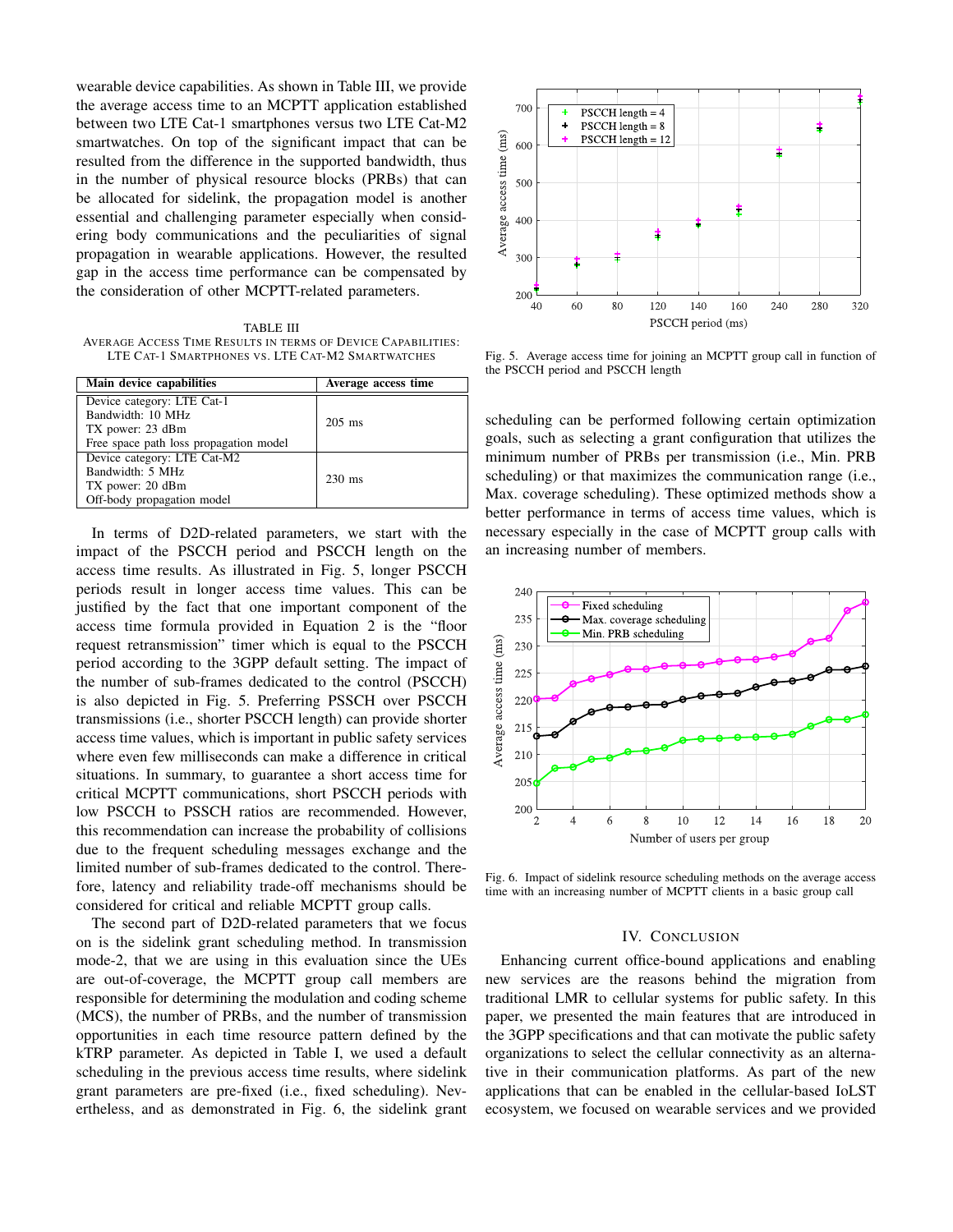wearable device capabilities. As shown in Table III, we provide the average access time to an MCPTT application established between two LTE Cat-1 smartphones versus two LTE Cat-M2 smartwatches. On top of the significant impact that can be resulted from the difference in the supported bandwidth, thus in the number of physical resource blocks (PRBs) that can be allocated for sidelink, the propagation model is another essential and challenging parameter especially when considering body communications and the peculiarities of signal propagation in wearable applications. However, the resulted gap in the access time performance can be compensated by the consideration of other MCPTT-related parameters.

TABLE III AVERAGE ACCESS TIME RESULTS IN TERMS OF DEVICE CAPABILITIES: LTE CAT-1 SMARTPHONES VS. LTE CAT-M2 SMARTWATCHES

| Main device capabilities                                                                                      | Average access time |
|---------------------------------------------------------------------------------------------------------------|---------------------|
| Device category: LTE Cat-1<br>Bandwidth: 10 MHz<br>TX power: 23 dBm<br>Free space path loss propagation model | $205$ ms            |
| Device category: LTE Cat-M2<br>Bandwidth: 5 MHz<br>TX power: 20 dBm<br>Off-body propagation model             | $230 \text{ ms}$    |

In terms of D2D-related parameters, we start with the impact of the PSCCH period and PSCCH length on the access time results. As illustrated in Fig. 5, longer PSCCH periods result in longer access time values. This can be justified by the fact that one important component of the access time formula provided in Equation 2 is the "floor request retransmission" timer which is equal to the PSCCH period according to the 3GPP default setting. The impact of the number of sub-frames dedicated to the control (PSCCH) is also depicted in Fig. 5. Preferring PSSCH over PSCCH transmissions (i.e., shorter PSCCH length) can provide shorter access time values, which is important in public safety services where even few milliseconds can make a difference in critical situations. In summary, to guarantee a short access time for critical MCPTT communications, short PSCCH periods with low PSCCH to PSSCH ratios are recommended. However, this recommendation can increase the probability of collisions due to the frequent scheduling messages exchange and the limited number of sub-frames dedicated to the control. Therefore, latency and reliability trade-off mechanisms should be considered for critical and reliable MCPTT group calls.

The second part of D2D-related parameters that we focus on is the sidelink grant scheduling method. In transmission mode-2, that we are using in this evaluation since the UEs are out-of-coverage, the MCPTT group call members are responsible for determining the modulation and coding scheme (MCS), the number of PRBs, and the number of transmission opportunities in each time resource pattern defined by the kTRP parameter. As depicted in Table I, we used a default scheduling in the previous access time results, where sidelink grant parameters are pre-fixed (i.e., fixed scheduling). Nevertheless, and as demonstrated in Fig. 6, the sidelink grant



Fig. 5. Average access time for joining an MCPTT group call in function of the PSCCH period and PSCCH length

scheduling can be performed following certain optimization goals, such as selecting a grant configuration that utilizes the minimum number of PRBs per transmission (i.e., Min. PRB scheduling) or that maximizes the communication range (i.e., Max. coverage scheduling). These optimized methods show a better performance in terms of access time values, which is necessary especially in the case of MCPTT group calls with an increasing number of members.



Fig. 6. Impact of sidelink resource scheduling methods on the average access time with an increasing number of MCPTT clients in a basic group call

#### IV. CONCLUSION

Enhancing current office-bound applications and enabling new services are the reasons behind the migration from traditional LMR to cellular systems for public safety. In this paper, we presented the main features that are introduced in the 3GPP specifications and that can motivate the public safety organizations to select the cellular connectivity as an alternative in their communication platforms. As part of the new applications that can be enabled in the cellular-based IoLST ecosystem, we focused on wearable services and we provided